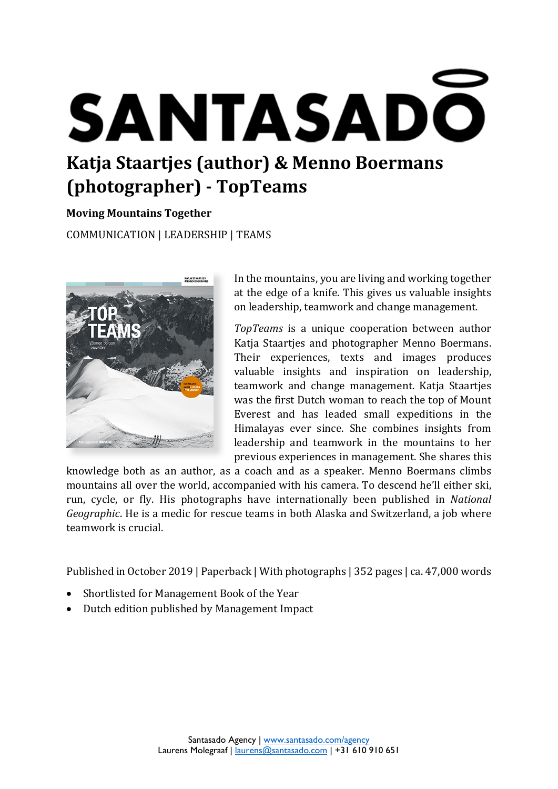# **SANTASADO Katja Staartjes (author) & Menno Boermans**

# **(photographer) - TopTeams**

# **Moving Mountains Together**

COMMUNICATION | LEADERSHIP | TEAMS



In the mountains, you are living and working together at the edge of a knife. This gives us valuable insights on leadership, teamwork and change management.

*TopTeams* is a unique cooperation between author Katja Staartjes and photographer Menno Boermans. Their experiences, texts and images produces valuable insights and inspiration on leadership, teamwork and change management. Katja Staartjes was the first Dutch woman to reach the top of Mount Everest and has leaded small expeditions in the Himalayas ever since. She combines insights from leadership and teamwork in the mountains to her previous experiences in management. She shares this

knowledge both as an author, as a coach and as a speaker. Menno Boermans climbs mountains all over the world, accompanied with his camera. To descend he'll either ski, run, cycle, or fly. His photographs have internationally been published in *National Geographic*. He is a medic for rescue teams in both Alaska and Switzerland, a job where teamwork is crucial.

Published in October 2019 | Paperback | With photographs | 352 pages | ca. 47,000 words

- Shortlisted for Management Book of the Year
- Dutch edition published by Management Impact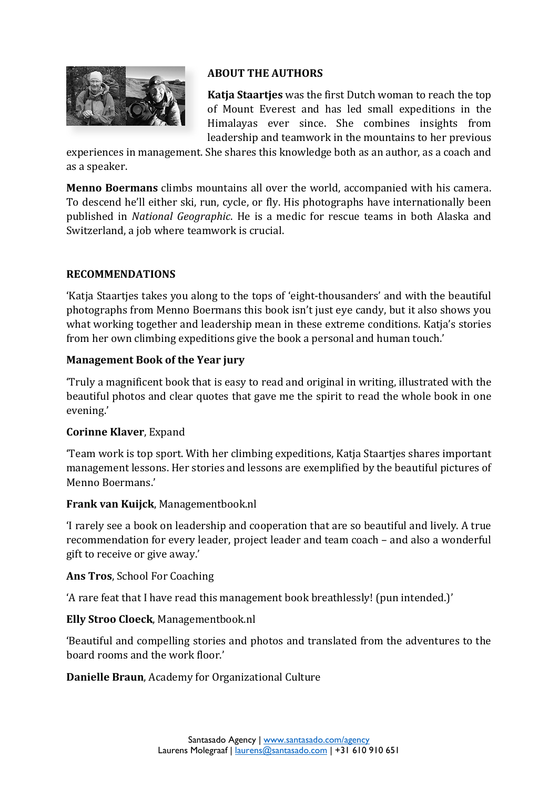

#### **ABOUT THE AUTHORS**

**Katja Staartjes** was the first Dutch woman to reach the top of Mount Everest and has led small expeditions in the Himalayas ever since. She combines insights from leadership and teamwork in the mountains to her previous

experiences in management. She shares this knowledge both as an author, as a coach and as a speaker.

**Menno Boermans** climbs mountains all over the world, accompanied with his camera. To descend he'll either ski, run, cycle, or fly. His photographs have internationally been published in *National Geographic*. He is a medic for rescue teams in both Alaska and Switzerland, a job where teamwork is crucial.

#### **RECOMMENDATIONS**

'Katja Staartjes takes you along to the tops of 'eight-thousanders' and with the beautiful photographs from Menno Boermans this book isn't just eye candy, but it also shows you what working together and leadership mean in these extreme conditions. Katja's stories from her own climbing expeditions give the book a personal and human touch.'

#### **Management Book of the Year jury**

'Truly a magnificent book that is easy to read and original in writing, illustrated with the beautiful photos and clear quotes that gave me the spirit to read the whole book in one evening.'

# **Corinne Klaver**, Expand

'Team work is top sport. With her climbing expeditions, Katja Staartjes shares important management lessons. Her stories and lessons are exemplified by the beautiful pictures of Menno Boermans.'

#### **Frank van Kuijck**, Managementbook.nl

'I rarely see a book on leadership and cooperation that are so beautiful and lively. A true recommendation for every leader, project leader and team coach – and also a wonderful gift to receive or give away.'

#### **Ans Tros**, School For Coaching

'A rare feat that I have read this management book breathlessly! (pun intended.)'

# **Elly Stroo Cloeck**, Managementbook.nl

'Beautiful and compelling stories and photos and translated from the adventures to the board rooms and the work floor.'

# **Danielle Braun**, Academy for Organizational Culture